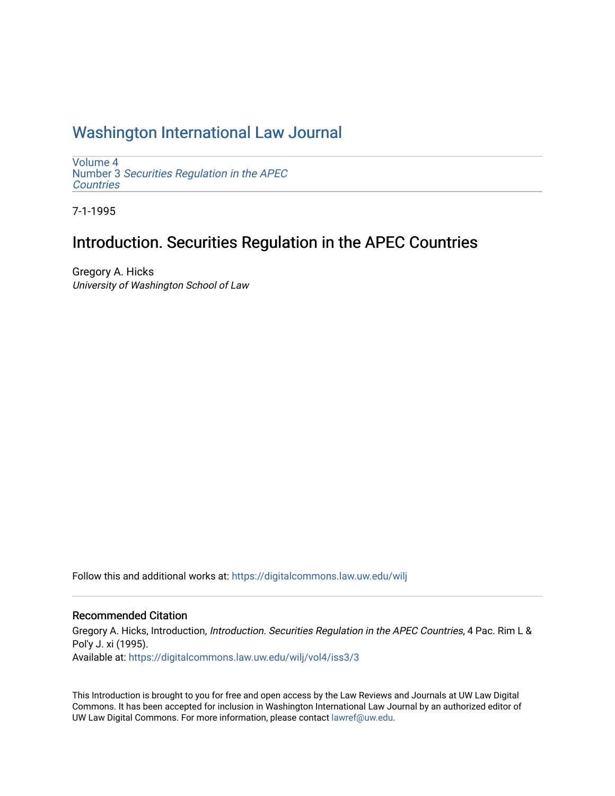# [Washington International Law Journal](https://digitalcommons.law.uw.edu/wilj)

[Volume 4](https://digitalcommons.law.uw.edu/wilj/vol4) Number 3 [Securities Regulation in the APEC](https://digitalcommons.law.uw.edu/wilj/vol4/iss3)  **Countries** 

7-1-1995

# Introduction. Securities Regulation in the APEC Countries

Gregory A. Hicks University of Washington School of Law

Follow this and additional works at: [https://digitalcommons.law.uw.edu/wilj](https://digitalcommons.law.uw.edu/wilj?utm_source=digitalcommons.law.uw.edu%2Fwilj%2Fvol4%2Fiss3%2F3&utm_medium=PDF&utm_campaign=PDFCoverPages) 

### Recommended Citation

Gregory A. Hicks, Introduction, Introduction. Securities Regulation in the APEC Countries, 4 Pac. Rim L & Pol'y J. xi (1995). Available at: [https://digitalcommons.law.uw.edu/wilj/vol4/iss3/3](https://digitalcommons.law.uw.edu/wilj/vol4/iss3/3?utm_source=digitalcommons.law.uw.edu%2Fwilj%2Fvol4%2Fiss3%2F3&utm_medium=PDF&utm_campaign=PDFCoverPages) 

This Introduction is brought to you for free and open access by the Law Reviews and Journals at UW Law Digital Commons. It has been accepted for inclusion in Washington International Law Journal by an authorized editor of UW Law Digital Commons. For more information, please contact [lawref@uw.edu](mailto:lawref@uw.edu).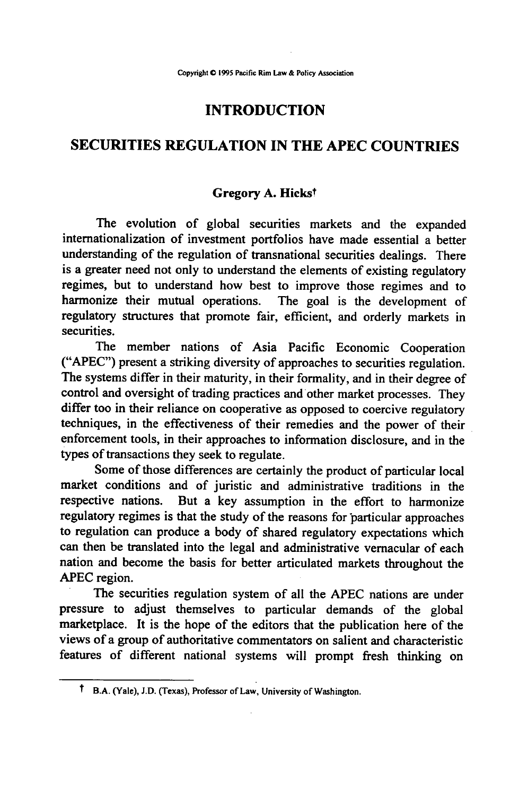### **INTRODUCTION**

### **SECURITIES REGULATION IN THE APEC COUNTRIES**

#### **Gregory A. Hickst**

The evolution of global securities markets and the expanded internationalization of investment portfolios have made essential a better understanding of the regulation of transnational securities dealings. There is a greater need not only to understand the elements of existing regulatory regimes, but to understand how best to improve those regimes and to harmonize their mutual operations. The goal is the development of regulatory structures that promote fair, efficient, and orderly markets in securities.

The member nations of Asia Pacific Economic Cooperation **("APEC")** present a striking diversity of approaches to securities regulation. The systems differ in their maturity, in their formality, and in their degree of control and oversight of trading practices and other market processes. They differ too in their reliance on cooperative as opposed to coercive regulatory techniques, in the effectiveness of their remedies and the power of their enforcement tools, in their approaches to information disclosure, and in the types of transactions they seek to regulate.

Some of those differences are certainly the product of particular local market conditions and of juristic and administrative traditions in the respective nations. But a key assumption in the effort to harmonize regulatory regimes is that the study of the reasons for particular approaches to regulation can produce a body of shared regulatory expectations which can then be translated into the legal and administrative vernacular of each nation and become the basis for better articulated markets throughout the APEC region.

The securities regulation system of all the APEC nations are under pressure to adjust themselves to particular demands of the global marketplace. It is the hope of the editors that the publication here of the views of a group of authoritative commentators on salient and characteristic features of different national systems will prompt fresh thinking on

t B.A. (Yale), **J.D.** (Texas), Professor of Law, University of Washington.